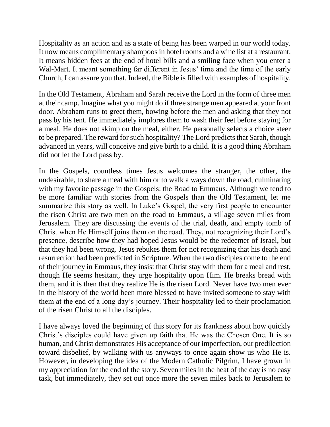Hospitality as an action and as a state of being has been warped in our world today. It now means complimentary shampoos in hotel rooms and a wine list at a restaurant. It means hidden fees at the end of hotel bills and a smiling face when you enter a Wal-Mart. It meant something far different in Jesus' time and the time of the early Church, I can assure you that. Indeed, the Bible is filled with examples of hospitality.

In the Old Testament, Abraham and Sarah receive the Lord in the form of three men at their camp. Imagine what you might do if three strange men appeared at your front door. Abraham runs to greet them, bowing before the men and asking that they not pass by his tent. He immediately implores them to wash their feet before staying for a meal. He does not skimp on the meal, either. He personally selects a choice steer to be prepared. The reward for such hospitality? The Lord predicts that Sarah, though advanced in years, will conceive and give birth to a child. It is a good thing Abraham did not let the Lord pass by.

In the Gospels, countless times Jesus welcomes the stranger, the other, the undesirable, to share a meal with him or to walk a ways down the road, culminating with my favorite passage in the Gospels: the Road to Emmaus. Although we tend to be more familiar with stories from the Gospels than the Old Testament, let me summarize this story as well. In Luke's Gospel, the very first people to encounter the risen Christ are two men on the road to Emmaus, a village seven miles from Jerusalem. They are discussing the events of the trial, death, and empty tomb of Christ when He Himself joins them on the road. They, not recognizing their Lord's presence, describe how they had hoped Jesus would be the redeemer of Israel, but that they had been wrong. Jesus rebukes them for not recognizing that his death and resurrection had been predicted in Scripture. When the two disciples come to the end of their journey in Emmaus, they insist that Christ stay with them for a meal and rest, though He seems hesitant, they urge hospitality upon Him. He breaks bread with them, and it is then that they realize He is the risen Lord. Never have two men ever in the history of the world been more blessed to have invited someone to stay with them at the end of a long day's journey. Their hospitality led to their proclamation of the risen Christ to all the disciples.

I have always loved the beginning of this story for its frankness about how quickly Christ's disciples could have given up faith that He was the Chosen One. It is so human, and Christ demonstrates His acceptance of our imperfection, our predilection toward disbelief, by walking with us anyways to once again show us who He is. However, in developing the idea of the Modern Catholic Pilgrim, I have grown in my appreciation for the end of the story. Seven miles in the heat of the day is no easy task, but immediately, they set out once more the seven miles back to Jerusalem to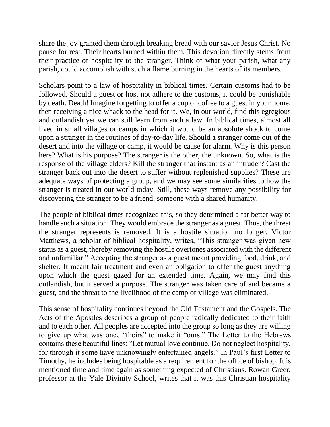share the joy granted them through breaking bread with our savior Jesus Christ. No pause for rest. Their hearts burned within them. This devotion directly stems from their practice of hospitality to the stranger. Think of what your parish, what any parish, could accomplish with such a flame burning in the hearts of its members.

Scholars point to a law of hospitality in biblical times. Certain customs had to be followed. Should a guest or host not adhere to the customs, it could be punishable by death. Death! Imagine forgetting to offer a cup of coffee to a guest in your home, then receiving a nice whack to the head for it. We, in our world, find this egregious and outlandish yet we can still learn from such a law. In biblical times, almost all lived in small villages or camps in which it would be an absolute shock to come upon a stranger in the routines of day-to-day life. Should a stranger come out of the desert and into the village or camp, it would be cause for alarm. Why is this person here? What is his purpose? The stranger is the other, the unknown. So, what is the response of the village elders? Kill the stranger that instant as an intruder? Cast the stranger back out into the desert to suffer without replenished supplies? These are adequate ways of protecting a group, and we may see some similarities to how the stranger is treated in our world today. Still, these ways remove any possibility for discovering the stranger to be a friend, someone with a shared humanity.

The people of biblical times recognized this, so they determined a far better way to handle such a situation. They would embrace the stranger as a guest. Thus, the threat the stranger represents is removed. It is a hostile situation no longer. Victor Matthews, a scholar of biblical hospitality, writes, "This stranger was given new status as a guest, thereby removing the hostile overtones associated with the different and unfamiliar." Accepting the stranger as a guest meant providing food, drink, and shelter. It meant fair treatment and even an obligation to offer the guest anything upon which the guest gazed for an extended time. Again, we may find this outlandish, but it served a purpose. The stranger was taken care of and became a guest, and the threat to the livelihood of the camp or village was eliminated.

This sense of hospitality continues beyond the Old Testament and the Gospels. The Acts of the Apostles describes a group of people radically dedicated to their faith and to each other. All peoples are accepted into the group so long as they are willing to give up what was once "theirs" to make it "ours." The Letter to the Hebrews contains these beautiful lines: "Let mutual love continue. Do not neglect hospitality, for through it some have unknowingly entertained angels." In Paul's first Letter to Timothy, he includes being hospitable as a requirement for the office of bishop. It is mentioned time and time again as something expected of Christians. Rowan Greer, professor at the Yale Divinity School, writes that it was this Christian hospitality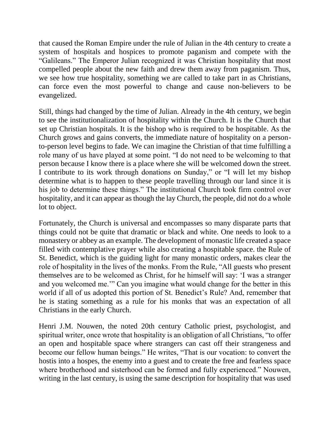that caused the Roman Empire under the rule of Julian in the 4th century to create a system of hospitals and hospices to promote paganism and compete with the "Galileans." The Emperor Julian recognized it was Christian hospitality that most compelled people about the new faith and drew them away from paganism. Thus, we see how true hospitality, something we are called to take part in as Christians, can force even the most powerful to change and cause non-believers to be evangelized.

Still, things had changed by the time of Julian. Already in the 4th century, we begin to see the institutionalization of hospitality within the Church. It is the Church that set up Christian hospitals. It is the bishop who is required to be hospitable. As the Church grows and gains converts, the immediate nature of hospitality on a personto-person level begins to fade. We can imagine the Christian of that time fulfilling a role many of us have played at some point. "I do not need to be welcoming to that person because I know there is a place where she will be welcomed down the street. I contribute to its work through donations on Sunday," or "I will let my bishop determine what is to happen to these people travelling through our land since it is his job to determine these things." The institutional Church took firm control over hospitality, and it can appear as though the lay Church, the people, did not do a whole lot to object.

Fortunately, the Church is universal and encompasses so many disparate parts that things could not be quite that dramatic or black and white. One needs to look to a monastery or abbey as an example. The development of monastic life created a space filled with contemplative prayer while also creating a hospitable space. the Rule of St. Benedict, which is the guiding light for many monastic orders, makes clear the role of hospitality in the lives of the monks. From the Rule, "All guests who present themselves are to be welcomed as Christ, for he himself will say: 'I was a stranger and you welcomed me.'" Can you imagine what would change for the better in this world if all of us adopted this portion of St. Benedict's Rule? And, remember that he is stating something as a rule for his monks that was an expectation of all Christians in the early Church.

Henri J.M. Nouwen, the noted 20th century Catholic priest, psychologist, and spiritual writer, once wrote that hospitality is an obligation of all Christians, "to offer an open and hospitable space where strangers can cast off their strangeness and become our fellow human beings." He writes, "That is our vocation: to convert the hostis into a hospes, the enemy into a guest and to create the free and fearless space where brotherhood and sisterhood can be formed and fully experienced." Nouwen, writing in the last century, is using the same description for hospitality that was used